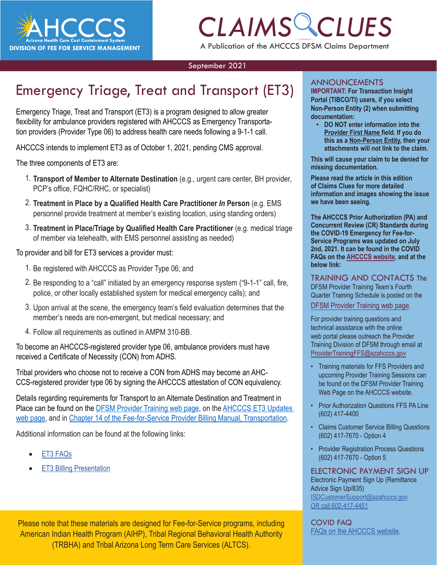

## *CLAIMS CLUES* A Publication of the AHCCCS DFSM Claims Department

#### September 2021

## Emergency Triage, Treat and Transport (ET3)

Emergency Triage, Treat and Transport (ET3) is a program designed to allow greater flexibility for ambulance providers registered with AHCCCS as Emergency Transportation providers (Provider Type 06) to address health care needs following a 9-1-1 call.

AHCCCS intends to implement ET3 as of October 1, 2021, pending CMS approval.

The three components of ET3 are:

- 1. **Transport of Member to Alternate Destination** (e.g., urgent care center, BH provider, PCP's office, FQHC/RHC, or specialist)
- 2. **Treatment in Place by a Qualified Health Care Practitioner** *In* **Person** (e.g. EMS personnel provide treatment at member's existing location, using standing orders)
- 3. **Treatment in Place/Triage by Qualified Health Care Practitioner** (e.g. medical triage of member via telehealth, with EMS personnel assisting as needed)

To provider and bill for ET3 services a provider must:

- 1. Be registered with AHCCCS as Provider Type 06; and
- 2. Be responding to a "call" initiated by an emergency response system ("9-1-1" call, fire, police, or other locally established system for medical emergency calls); and
- 3. Upon arrival at the scene, the emergency team's field evaluation determines that the member's needs are non-emergent, but medical necessary; and
- 4. Follow all requirements as outlined in AMPM 310-BB.

To become an AHCCCS-registered provider type 06, ambulance providers must have received a Certificate of Necessity (CON) from ADHS.

Tribal providers who choose not to receive a CON from ADHS may become an AHC-CCS-registered provider type 06 by signing the AHCCCS attestation of CON equivalency.

Details regarding requirements for Transport to an Alternate Destination and Treatment in Place can be found on the **DFSM Provider Training web page**, on the **AHCCCS ET3 Updates** [web page](https://azahcccs.gov/AHCCCS/Initiatives/ET3/), and in [Chapter 14 of the Fee-for-Service Provider Billing Manual, Transportation](https://www.azahcccs.gov/PlansProviders/Downloads/FFSProviderManual/FFS_Chap14Transportation.pdf).

Additional information can be found at the following links:

- [ET3 FAQs](https://azahcccs.gov/AHCCCS/Downloads/ET3/ET3QuestionsAndAnswers.pdf)
- **[ET3 Billing Presentation](https://www.azahcccs.gov/Resources/Downloads/DFMSTraining/2021/ET3_Billing_Training_Slides.pdf)**

Please note that these materials are designed for Fee-for-Service programs, including American Indian Health Program (AIHP), Tribal Regional Behavioral Health Authority (TRBHA) and Tribal Arizona Long Term Care Services (ALTCS).

#### ANNOUNCEMENTS

**CLIS** IMPORTANT: For Transaction Insight<br>
Portal (TIBCO/TI) users, if you select<br>
Non-Person Entity (2) when submitting<br>
documentation: **IMPORTANT: For Transaction Insight Portal (TIBCO/TI) users, if you select documentation:**

> **• DO NOT enter information into the Provider First Name field. If you do this as a Non-Person Entity, then your attachments will not link to the claim.**

**This will cause your claim to be denied for missing documentation.** 

**Please read the article in this edition of Claims Clues for more detailed information and images showing the issue we have been seeing.** 

**The AHCCCS Prior Authorization (PA) and Concurrent Review (CR) Standards during the COVID-19 Emergency for Fee-for-Service Programs was updated on July 2nd, 2021. It can be found in the COVID FAQs on t[he AHCCCS website, a](https://azahcccs.gov/AHCCCS/AboutUs/covid19FAQ.html)nd at the below link:** 

TRAINING AND CONTACTS The DFSM Provider Training Team's Fourth Quarter Training Schedule is posted on the [DFSM Provider Training web page](https://www.azahcccs.gov/Resources/Downloads/DFMSTraining/2021/ProviderTrainingScheduleThirdQuarter2021.pdf).

For provider training questions and technical assistance with the online web portal please outreach the Provider Training Division of DFSM through email at [ProviderTrainingFFS@azahcccs.gov](mailto:ProviderTrainingFFS@azahcccs.gov)

- Training materials for FFS Providers and upcoming Provider Training Sessions can be found on the DFSM Provider Training Web Page on the AHCCCS website.
- Prior Authorization Questions FFS PA Line (602) 417-4400
- Claims Customer Service Billing Questions (602) 417-7670 - Option 4
- Provider Registration Process Questions (602) 417-7670 - Option 5

ELECTRONIC PAYMENT SIGN UP Electronic Payment [Si](https://azahcccs.gov/AHCCCS/AboutUs/covid19FAQ.html)gn Up (Remittance Advice Sign Up/835) [ISDCustomerSupport@azahcccs.gov](https://azahcccs.gov/AHCCCS/AboutUs/covid19FAQ.html) [OR call 602-417-4451](https://azahcccs.gov/AHCCCS/AboutUs/covid19FAQ.html)

[COVID FAQ](https://azahcccs.gov/AHCCCS/AboutUs/covid19FAQ.html)  [FAQs on the AHCCCS website.](https://azahcccs.gov/AHCCCS/AboutUs/covid19FAQ.html)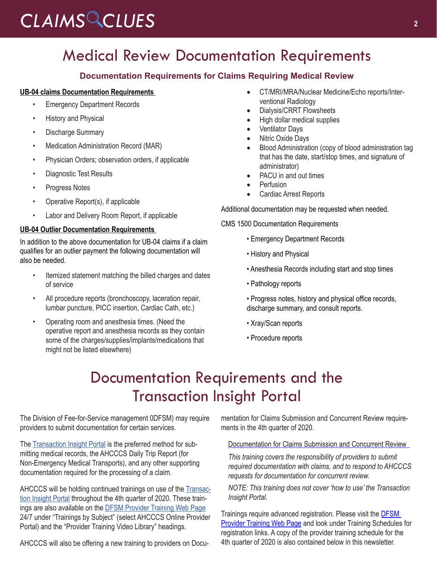## Medical Review Documentation Requirements

#### **Documentation Requirements for Claims Requiring Medical Review**

#### **UB-04 claims Documentation Requirements**

- **Emergency Department Records**
- History and Physical
- Discharge Summary
- Medication Administration Record (MAR)
- Physician Orders; observation orders, if applicable
- Diagnostic Test Results
- Progress Notes
- Operative Report(s), if applicable
- Labor and Delivery Room Report, if applicable

#### **UB-04 Outlier Documentation Requirements**

In addition to the above documentation for UB-04 claims if a claim qualifies for an outlier payment the following documentation will also be needed.

- Itemized statement matching the billed charges and dates of service
- All procedure reports (bronchoscopy, laceration repair, lumbar puncture, PICC insertion, Cardiac Cath, etc.)
- Operating room and anesthesia times. (Need the operative report and anesthesia records as they contain some of the charges/supplies/implants/medications that might not be listed elsewhere)
- • CT/MRI/MRA/Nuclear Medicine/Echo reports/Interventional Radiology
- Dialysis/CRRT Flowsheets
- High dollar medical supplies
- **Ventilator Days**
- Nitric Oxide Days
- Blood Administration (copy of blood administration tag that has the date, start/stop times, and signature of administrator)
- PACU in and out times
- **Perfusion**
- **Cardiac Arrest Reports**

Additional documentation may be requested when needed.

CMS 1500 Documentation Requirements

- Emergency Department Records
- History and Physical
- Anesthesia Records including start and stop times
- Pathology reports
- Progress notes, history and physical office records, discharge summary, and consult reports.
- Xray/Scan reports
- Procedure reports

### Documentation Requirements and the Transaction Insight Portal

The Division of Fee-for-Service management 0DFSM) may require providers to submit documentation for certain services.

The [Transaction Insight Portal](https://tiwebprd.statemedicaid.us/AHCCCS/default.aspx?ReturnUrl=%2fAHCCCS%2f) is the preferred method for submitting medical records, the AHCCCS Daily Trip Report (for Non-Emergency Medical Transports), and any other supporting documentation required for the processing of a claim.

AHCCCS will be holding continued trainings on use of the [Transac](https://tiwebprd.statemedicaid.us/AHCCCS/default.aspx?ReturnUrl=%2fAHCCCS%2f)[tion Insight Portal](https://tiwebprd.statemedicaid.us/AHCCCS/default.aspx?ReturnUrl=%2fAHCCCS%2f) throughout the 4th quarter of 2020. These trainings are also available on the [DFSM Provider Training Web Page](https://www.azahcccs.gov/Resources/Training/DFSM_Training.html) 24/7 under "Trainings by Subject" (select AHCCCS Online Provider Portal) and the "Provider Training Video Library" headings.

AHCCCS will also be offering a new training to providers on Docu-

mentation for Claims Submission and Concurrent Review requirements in the 4th quarter of 2020.

Documentation for Claims Submission and Concurrent Review

*This training covers the responsibility of providers to submit required documentation with claims, and to respond to AHCCCS requests for documentation for concurrent review.*

*NOTE: This training does not cover 'how to use' the Transaction Insight Portal.* 

Trainings require advanced registration. Please visit the **DFSM** [Provider Training Web Page](https://www.azahcccs.gov/Resources/Training/DFSM_Training.html) and look under Training Schedules for registration links. A copy of the provider training schedule for the 4th quarter of 2020 is also contained below in this newsletter.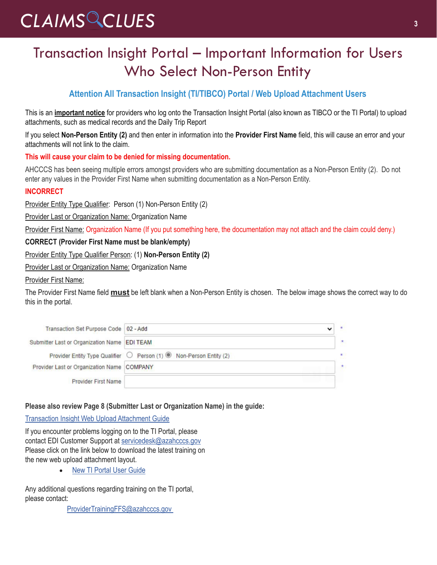## Transaction Insight Portal – Important Information for Users Who Select Non-Person Entity

#### **Attention All Transaction Insight (TI/TIBCO) Portal / Web Upload Attachment Users**

This is an **important notice** for providers who log onto the Transaction Insight Portal (also known as TIBCO or the TI Portal) to upload attachments, such as medical records and the Daily Trip Report

If you select **Non-Person Entity (2)** and then enter in information into the **Provider First Name** field, this will cause an error and your attachments will not link to the claim.

#### **This will cause your claim to be denied for missing documentation.**

AHCCCS has been seeing multiple errors amongst providers who are submitting documentation as a Non-Person Entity (2). Do not enter any values in the Provider First Name when submitting documentation as a Non-Person Entity.

#### **INCORRECT**

Provider Entity Type Qualifier: Person (1) Non-Person Entity (2)

Provider Last or Organization Name: Organization Name

Provider First Name: Organization Name (If you put something here, the documentation may not attach and the claim could deny.)

#### **CORRECT (Provider First Name must be blank/empty)**

Provider Entity Type Qualifier Person: (1) **Non-Person Entity (2)**

Provider Last or Organization Name: Organization Name

#### Provider First Name:

The Provider First Name field **must** be left blank when a Non-Person Entity is chosen. The below image shows the correct way to do this in the portal.

| Transaction Set Purpose Code   02 - Add             |                                                                     |              |
|-----------------------------------------------------|---------------------------------------------------------------------|--------------|
| Submitter Last or Organization Name <b>EDI TEAM</b> |                                                                     | ×            |
|                                                     | Provider Entity Type Qualifier ◯ Person (1) ( Non-Person Entity (2) | $\mathbf{r}$ |
| Provider Last or Organization Name COMPANY          |                                                                     | $\mathbf{R}$ |
| <b>Provider First Name</b>                          |                                                                     |              |

#### **Please also review Page 8 (Submitter Last or Organization Name) in the guide:**

#### [Transaction Insight Web Upload Attachment Guide](https://www.azahcccs.gov/Resources/Downloads/DFMSTraining/2018/TransactionInsight_TI_PortalWebUploadAttachmentGuide.pdf)

If you encounter problems logging on to the TI Portal, please contact EDI Customer Support at [servicedesk@azahcccs.gov](mailto:servicedesk@azahcccs.gov) Please click on the link below to download the latest training on the new web upload attachment layout.

• [New TI Portal User Guide](https://www.azahcccs.gov/Resources/Downloads/DFMSTraining/2021/TransactionInsightWebUploadGuide.pdf)

Any additional questions regarding training on the TI portal, please contact:

[ProviderTrainingFFS@azahcccs.gov](mailto:ProviderTrainingFFS@azahcccs.gov.)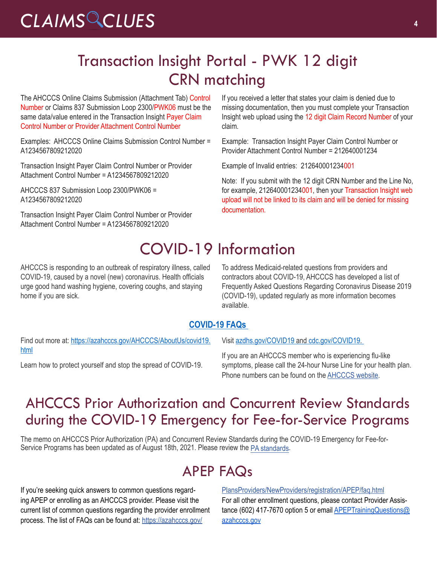## Transaction Insight Portal - PWK 12 digit CRN matching

The AHCCCS Online Claims Submission (Attachment Tab) Control Number or Claims 837 Submission Loop 2300/PWK06 must be the same data/value entered in the Transaction Insight Payer Claim Control Number or Provider Attachment Control Number

Examples: AHCCCS Online Claims Submission Control Number = A1234567809212020

Transaction Insight Payer Claim Control Number or Provider Attachment Control Number = A1234567809212020

AHCCCS 837 Submission Loop 2300/PWK06 = A1234567809212020

Transaction Insight Payer Claim Control Number or Provider Attachment Control Number = A1234567809212020

If you received a letter that states your claim is denied due to missing documentation, then you must complete your Transaction Insight web upload using the 12 digit Claim Record Number of your claim.

Example: Transaction Insight Payer Claim Control Number or Provider Attachment Control Number = 212640001234

Example of Invalid entries: 212640001234001

Note: If you submit with the 12 digit CRN Number and the Line No, for example, 212640001234001, then your Transaction Insight web upload will not be linked to its claim and will be denied for missing documentation.

## COVID-19 Information

AHCCCS is responding to an outbreak of respiratory illness, called COVID-19, caused by a novel (new) coronavirus. Health officials urge good hand washing hygiene, covering coughs, and staying home if you are sick.

To address Medicaid-related questions from providers and contractors about COVID-19, AHCCCS has developed a list of Frequently Asked Questions Regarding Coronavirus Disease 2019 (COVID-19), updated regularly as more information becomes available.

#### **[COVID-19 FAQs](https://azahcccs.gov/AHCCCS/AboutUs/covid19FAQ.html)**

Find out more at: [https://azahcccs.gov/AHCCCS/AboutUs/covid19.](https://azahcccs.gov/AHCCCS/AboutUs/covid19.html) [html](https://azahcccs.gov/AHCCCS/AboutUs/covid19.html)

Learn how to protect yourself and stop the spread of COVID-19.

Visit [azdhs.gov/COVID19](https://azdhs.gov/covid19) and [cdc.gov/COVID19.](https://www.cdc.gov/covid19)

If you are an AHCCCS member who is experiencing flu-like symptoms, please call the 24-hour Nurse Line for your health plan. Phone numbers can be found on the [AHCCCS website](https://azahcccs.gov/AHCCCS/AboutUs/covid19.html).

### AHCCCS Prior Authorization and Concurrent Review Standards during the COVID-19 Emergency for Fee-for-Service Programs

The memo on AHCCCS Prior Authorization (PA) and Concurrent Review Standards during the COVID-19 Emergency for Fee-for-Service Programs has been updated as of August 18th, 2021. Please review the [PA standards.](https://azahcccs.gov/AHCCCS/Downloads/COVID19/AHCCCSPriorAuthorization.pdf)

## APEP FAQs

If you're seeking quick answers to common questions regarding APEP or enrolling as an AHCCCS provider. Please visit the current list of common questions regarding the provider enrollment process. The list of FAQs can be found at: [https://azahcccs.gov/](https://azahcccs.gov/PlansProviders/NewProviders/registration/APEP/faq.html)

[PlansProviders/NewProviders/registration/APEP/faq.html](https://azahcccs.gov/PlansProviders/NewProviders/registration/APEP/faq.html) For all other enrollment questions, please contact Provider Assistance (602) 417-7670 option 5 or email **APEPTrainingQuestions@** [azahcccs.gov](mailto:APEPTrainingQuestions@azahcccs.gov)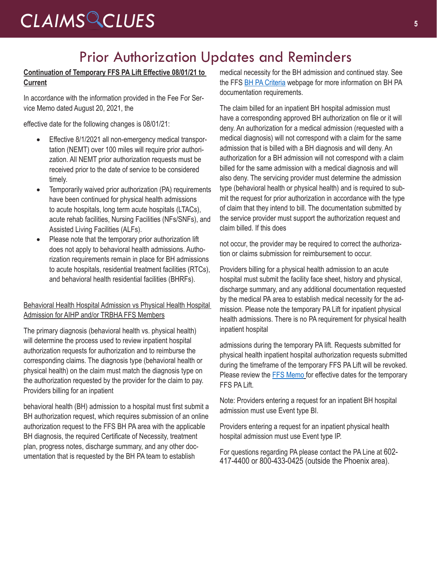### Prior Authorization Updates and Reminders

#### **Continuation of Temporary FFS PA Lift Effective 08/01/21 to Current**

In accordance with the information provided in the Fee For Service Memo dated August 20, 2021, the

effective date for the following changes is 08/01/21:

- Effective 8/1/2021 all non-emergency medical transportation (NEMT) over 100 miles will require prior authorization. All NEMT prior authorization requests must be received prior to the date of service to be considered timely.
- Temporarily waived prior authorization (PA) requirements have been continued for physical health admissions to acute hospitals, long term acute hospitals (LTACs), acute rehab facilities, Nursing Facilities (NFs/SNFs), and Assisted Living Facilities (ALFs).
- Please note that the temporary prior authorization lift does not apply to behavioral health admissions. Authorization requirements remain in place for BH admissions to acute hospitals, residential treatment facilities (RTCs), and behavioral health residential facilities (BHRFs).

#### Behavioral Health Hospital Admission vs Physical Health Hospital Admission for AIHP and/or TRBHA FFS Members

The primary diagnosis (behavioral health vs. physical health) will determine the process used to review inpatient hospital authorization requests for authorization and to reimburse the corresponding claims. The diagnosis type (behavioral health or physical health) on the claim must match the diagnosis type on the authorization requested by the provider for the claim to pay. Providers billing for an inpatient

behavioral health (BH) admission to a hospital must first submit a BH authorization request, which requires submission of an online authorization request to the FFS BH PA area with the applicable BH diagnosis, the required Certificate of Necessity, treatment plan, progress notes, discharge summary, and any other documentation that is requested by the BH PA team to establish

medical necessity for the BH admission and continued stay. See the FFS **[BH PA Criteria](https://www.azahcccs.gov/PlansProviders/FeeForServiceHealthPlans/PriorAuthorization/criteria.html)** webpage for more information on BH PA documentation requirements.

The claim billed for an inpatient BH hospital admission must have a corresponding approved BH authorization on file or it will deny. An authorization for a medical admission (requested with a medical diagnosis) will not correspond with a claim for the same admission that is billed with a BH diagnosis and will deny. An authorization for a BH admission will not correspond with a claim billed for the same admission with a medical diagnosis and will also deny. The servicing provider must determine the admission type (behavioral health or physical health) and is required to submit the request for prior authorization in accordance with the type of claim that they intend to bill. The documentation submitted by the service provider must support the authorization request and claim billed. If this does

not occur, the provider may be required to correct the authorization or claims submission for reimbursement to occur.

Providers billing for a physical health admission to an acute hospital must submit the facility face sheet, history and physical, discharge summary, and any additional documentation requested by the medical PA area to establish medical necessity for the admission. Please note the temporary PA Lift for inpatient physical health admissions. There is no PA requirement for physical health inpatient hospital

admissions during the temporary PA lift. Requests submitted for physical health inpatient hospital authorization requests submitted during the timeframe of the temporary FFS PA Lift will be revoked. Please review the [FFS Memo](https://azahcccs.gov/AHCCCS/Downloads/COVID19/AHCCCSPriorAuthorization.pdf) for effective dates for the temporary FFS PA Lift.

Note: Providers entering a request for an inpatient BH hospital admission must use Event type BI.

Providers entering a request for an inpatient physical health hospital admission must use Event type IP.

For questions regarding PA please contact the PA Line at 602- 417-4400 or 800-433-0425 (outside the Phoenix area).